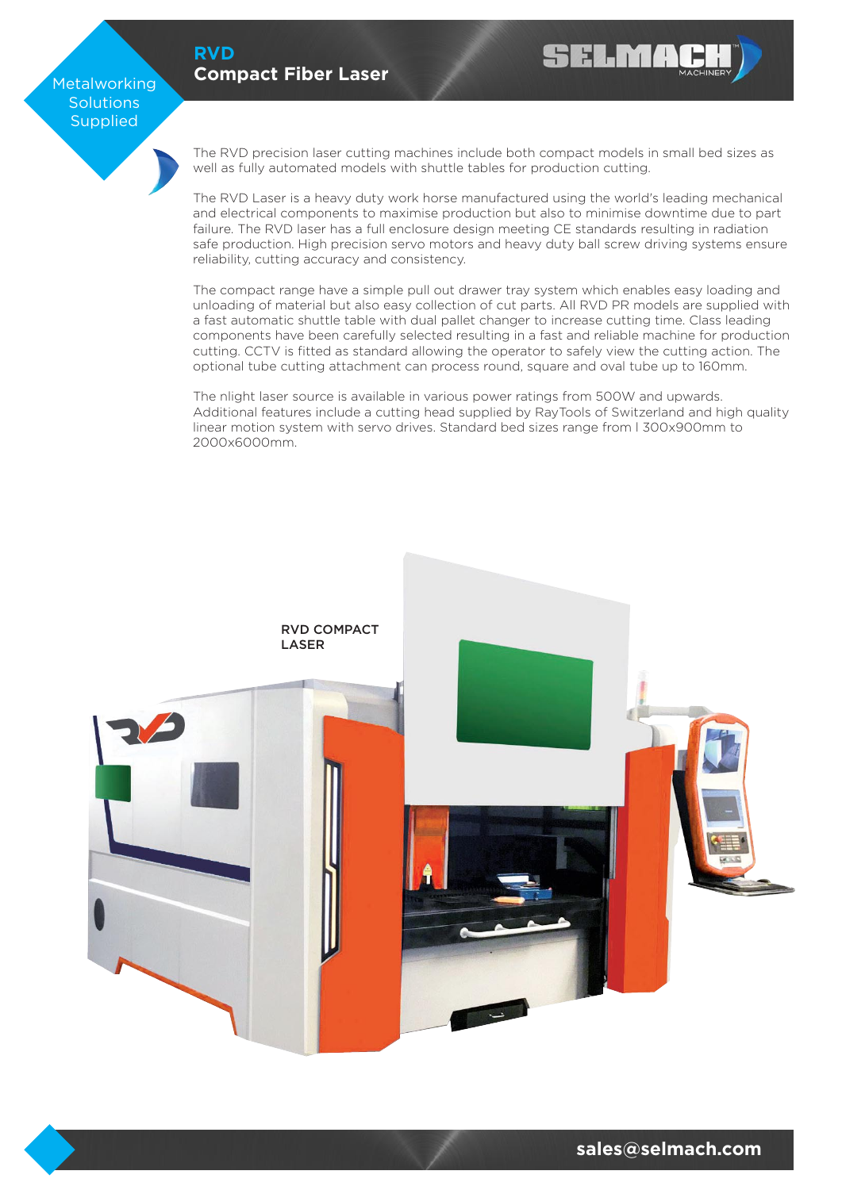#### **[RVD](https://selmach.com/product/rvd-compact-fibre-laser/) [Compact Fiber Laser](https://selmach.com/product/rvd-compact-fibre-laser/)**

Metalworking **Solutions** Supplied

> The RVD precision laser cutting machines include both compact models in small bed sizes as well as fully automated models with shuttle tables for production cutting.

**SELMA** 

The RVD Laser is a heavy duty work horse manufactured using the world's leading mechanical and electrical components to maximise production but also to minimise downtime due to part failure. The RVD laser has a full enclosure design meeting CE standards resulting in radiation safe production. High precision servo motors and heavy duty ball screw driving systems ensure reliability, cutting accuracy and consistency.

The compact range have a simple pull out drawer tray system which enables easy loading and unloading of material but also easy collection of cut parts. All RVD PR models are supplied with a fast automatic shuttle table with dual pallet changer to increase cutting time. Class leading components have been carefully selected resulting in a fast and reliable machine for production cutting. CCTV is fitted as standard allowing the operator to safely view the cutting action. The optional tube cutting attachment can process round, square and oval tube up to 160mm.

The nlight laser source is available in various power ratings from 500W and upwards. Additional features include a cutting head supplied by RayTools of Switzerland and high quality linear motion system with servo drives. Standard bed sizes range from l 300x900mm to 2000x6000mm.

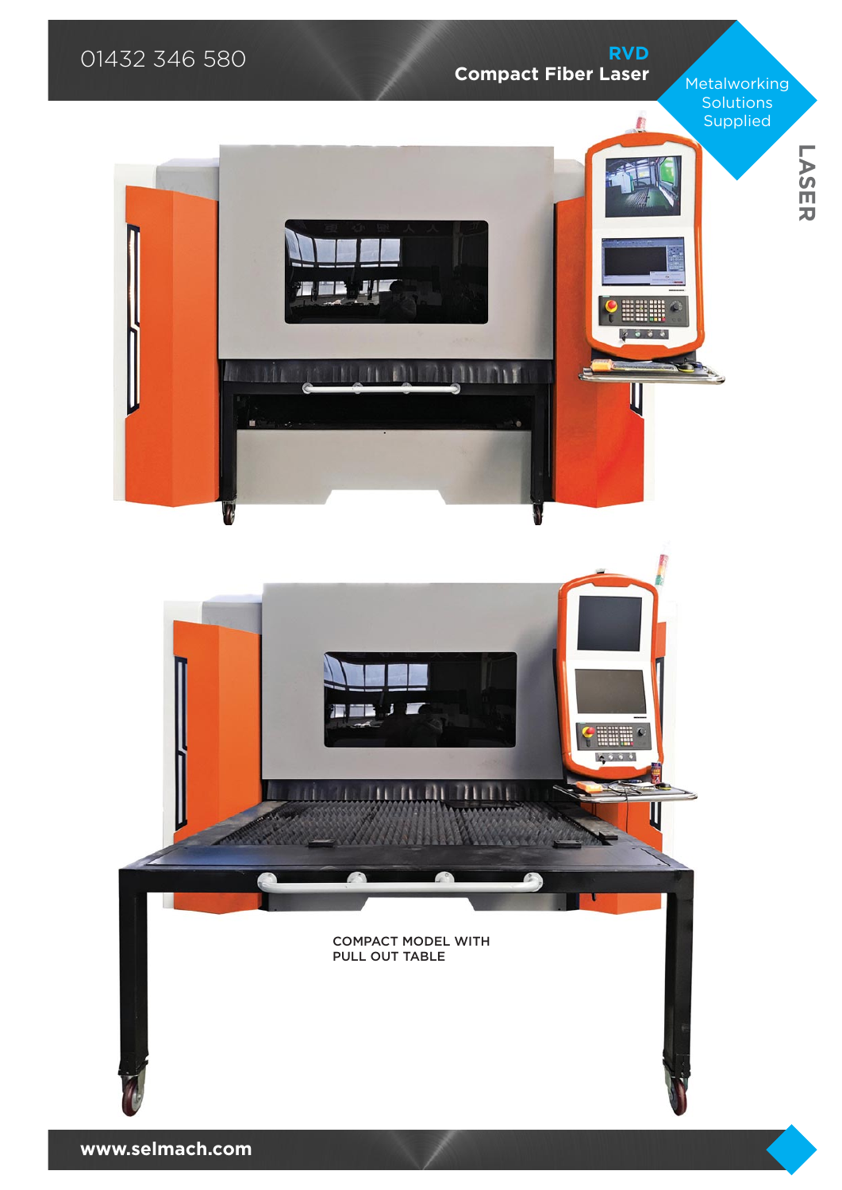

**[www.selmach.com](https://selmach.com/contact-us/)**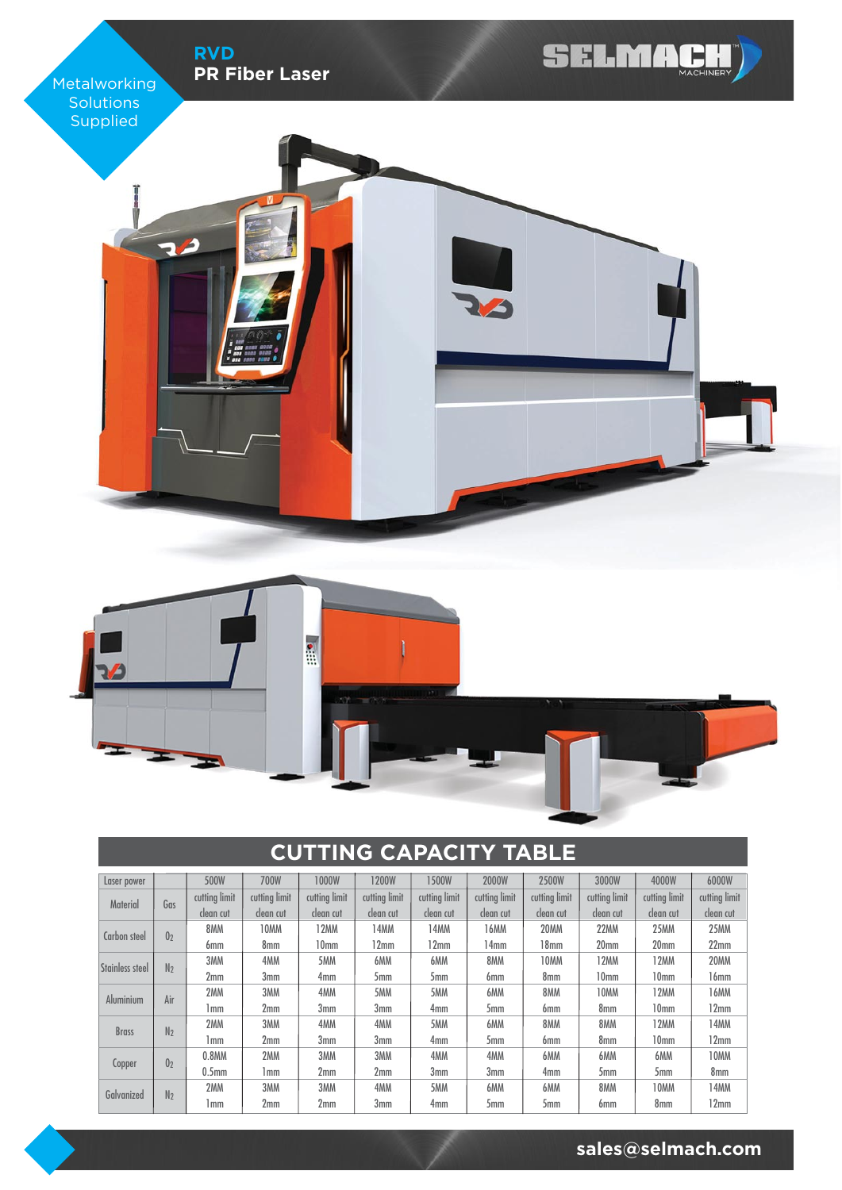

# **CUTTING CAPACITY TABLE**

| Laser power      |                | 500W              | 700W          | 1000W            | 1200W           | 1500W            | 2000W           | 2500W            | 3000W            | 4000W            | 6000W         |
|------------------|----------------|-------------------|---------------|------------------|-----------------|------------------|-----------------|------------------|------------------|------------------|---------------|
| <b>Material</b>  | Gas            | cutting limit     | cutting limit | cutting limit    | cutting limit   | cutting limit    | cutting limit   | cutting limit    | cutting limit    | cutting limit    | cutting limit |
|                  |                | clean cut         | clean cut     | clean cut        | clean cut       | clean cut        | clean cut       | clean cut        | clean cut        | clean cut        | clean cut     |
| Carbon steel     | 0 <sub>2</sub> | 8MM               | 10MM          | 12MM             | 14MM            | 14 <sub>MM</sub> | 16MM            | 20MM             | <b>22MM</b>      | <b>25MM</b>      | 25MM          |
|                  |                | 6mm               | 8mm           | 10 <sub>mm</sub> | 12mm            | 12mm             | 14mm            | 18 <sub>mm</sub> | 20 <sub>mm</sub> | 20 <sub>mm</sub> | 22mm          |
| Stainless steel  | N <sub>2</sub> | 3MM               | 4MM           | 5MM              | 6MM             | 6MM              | 8MM             | 10MM             | 12MM             | 12MM             | 20MM          |
|                  |                | 2mm               | 3mm           | 4mm              | 5 <sub>mm</sub> | 5mm              | 6mm             | 8 <sub>mm</sub>  | 10 <sub>mm</sub> | 10 <sub>mm</sub> | 16mm          |
|                  | Air            | 2MM               | 3MM           | 4MM              | 5MM             | 5MM              | 6MM             | 8MM              | 10MM             | 12MM             | 16MM          |
| <b>Aluminium</b> |                | 1 mm              | 2mm           | 3mm              | 3mm             | 4 <sub>mm</sub>  | 5mm             | 6 <sub>mm</sub>  | 8mm              | 10 <sub>mm</sub> | 12mm          |
|                  |                | 2MM               | 3MM           | 4MM              | 4MM             | 5MM              | 6MM             | 8MM              | 8MM              | 12MM             | 14MM          |
| <b>Brass</b>     | N <sub>2</sub> | 1 mm              | 2mm           | 3mm              | 3 <sub>mm</sub> | 4 <sub>mm</sub>  | 5 <sub>mm</sub> | 6 <sub>mm</sub>  | 8 <sub>mm</sub>  | 10 <sub>mm</sub> | 12mm          |
|                  |                | $0.8$ MM          | 2MM           | 3MM              | 3MM             | 4MM              | 4MM             | 6MM              | 6MM              | 6MM              | 10MM          |
| Copper           | 0 <sub>2</sub> | 0.5 <sub>mm</sub> | 1 mm          | 2mm              | 2 <sub>mm</sub> | 3 <sub>mm</sub>  | 3 <sub>mm</sub> | 4 <sub>mm</sub>  | 5mm              | 5mm              | 8mm           |
|                  |                | 2MM               | 3MM           | 3MM              | 4MM             | 5MM              | 6MM             | 6MM              | 8MM              | 10MM             | 14MM          |
| Galvanized       | N <sub>2</sub> | 1 mm              | 2mm           | 2mm              | 3 <sub>mm</sub> | 4 <sub>mm</sub>  | 5mm             | 5mm              | 6mm              | 8mm              | 12mm          |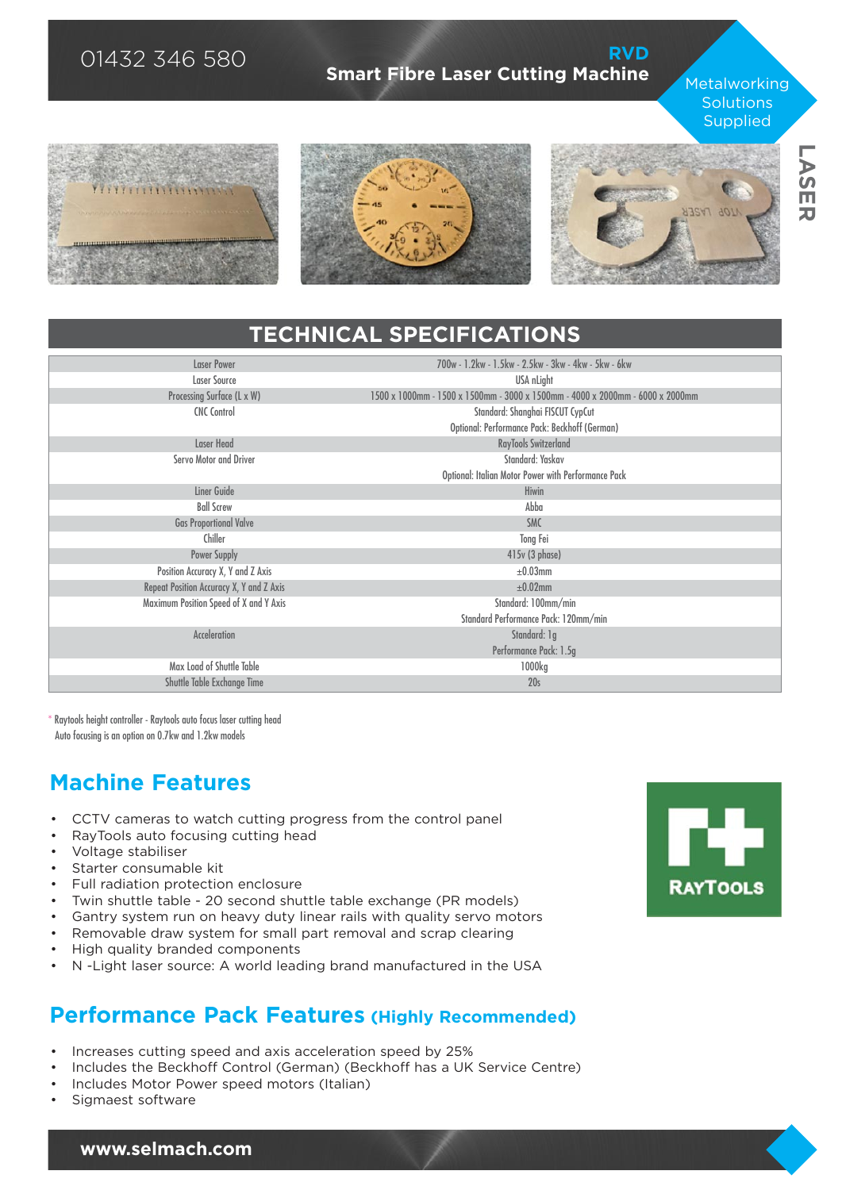## 01432 346 580

#### **[RVD](https://selmach.com/product/rvd-compact-fibre-laser/) [Smart Fibre Laser Cutting Machine](https://selmach.com/product/rvd-compact-fibre-laser/)**

**Metalworking Solutions Supplied** 







# **TECHNICAL SPECIFICATIONS**

| <b>Laser Power</b>                       | 700w - 1.2kw - 1.5kw - 2.5kw - 3kw - 4kw - 5kw - 6kw                          |
|------------------------------------------|-------------------------------------------------------------------------------|
|                                          |                                                                               |
| Laser Source                             | USA nLight                                                                    |
| Processing Surface (L x W)               | 1500 x 1000mm - 1500 x 1500mm - 3000 x 1500mm - 4000 x 2000mm - 6000 x 2000mm |
| <b>CNC Control</b>                       | Standard: Shanghai FISCUT CypCut                                              |
|                                          | Optional: Performance Pack: Beckhoff (German)                                 |
| Laser Head                               | RayTools Switzerland                                                          |
| Servo Motor and Driver                   | Standard: Yaskav                                                              |
|                                          | Optional: Italian Motor Power with Performance Pack                           |
| Liner Guide                              | Hiwin                                                                         |
| <b>Ball Screw</b>                        | Abba                                                                          |
| <b>Gas Proportional Valve</b>            | <b>SMC</b>                                                                    |
| Chiller                                  | Tong Fei                                                                      |
| <b>Power Supply</b>                      | 415v (3 phase)                                                                |
| Position Accuracy X, Y and Z Axis        | $\pm 0.03$ mm                                                                 |
| Repeat Position Accuracy X, Y and Z Axis | $\pm 0.02$ mm                                                                 |
| Maximum Position Speed of X and Y Axis   | Standard: 100mm/min                                                           |
|                                          | Standard Performance Pack: 120mm/min                                          |
| <b>Acceleration</b>                      | Standard: 1g                                                                  |
|                                          | Performance Pack: 1.5g                                                        |
| Max Load of Shuttle Table                | 1000kg                                                                        |
| Shuttle Table Exchange Time              | 20 <sub>s</sub>                                                               |

\* Raytools height controller - Raytools auto focus laser cutting head Auto focusing is an option on 0.7kw and 1.2kw models

## **Machine Features**

- CCTV cameras to watch cutting progress from the control panel
- RayTools auto focusing cutting head
- Voltage stabiliser
- Starter consumable kit
- Full radiation protection enclosure
- Twin shuttle table 20 second shuttle table exchange (PR models)
- Gantry system run on heavy duty linear rails with quality servo motors
- Removable draw system for small part removal and scrap clearing
- High quality branded components
- N -Light laser source: A world leading brand manufactured in the USA

## **Performance Pack Features (Highly Recommended)**

- Increases cutting speed and axis acceleration speed by 25%
- Includes the Beckhoff Control (German) (Beckhoff has a UK Service Centre)
- Includes Motor Power speed motors (Italian)
- Sigmaest software

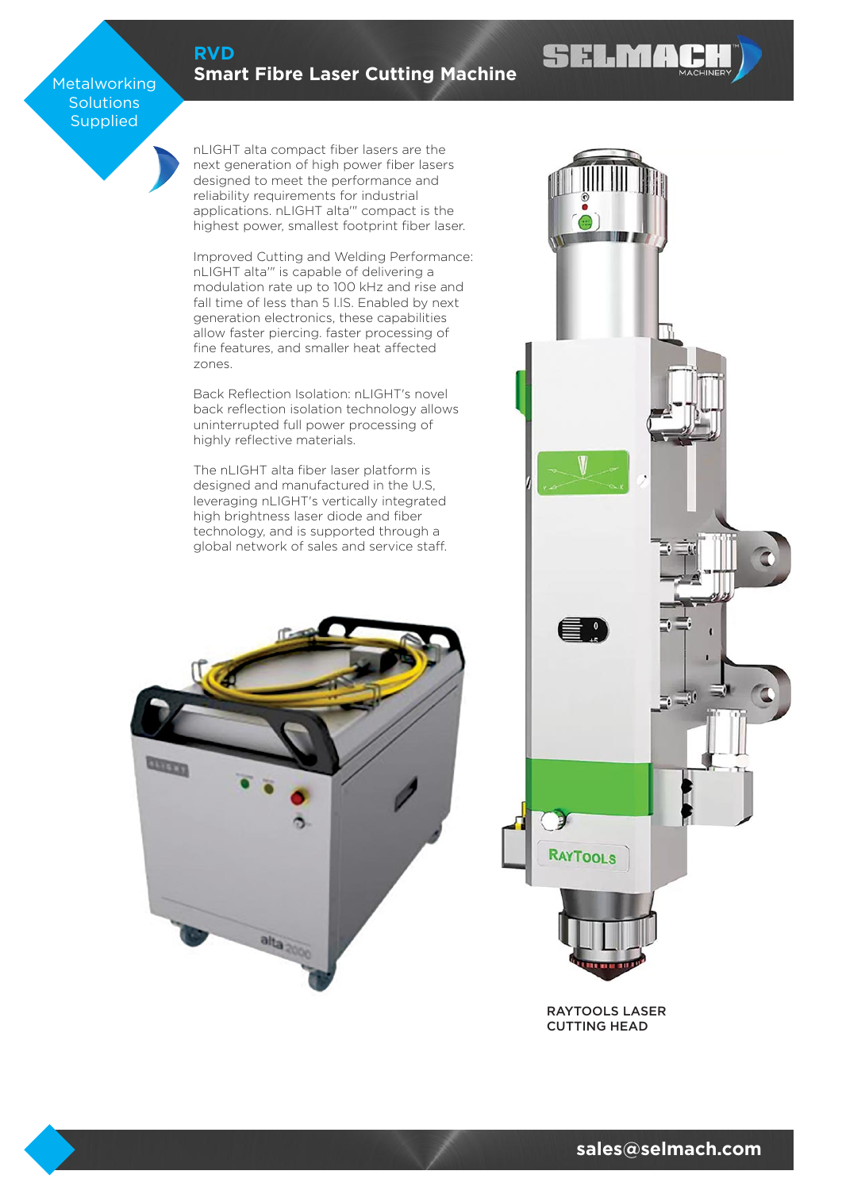### **[RVD](https://selmach.com/product/rvd-compact-fibre-laser/)**

### **[Smart Fibre Laser Cutting Machine](https://selmach.com/product/rvd-compact-fibre-laser/)**

#### Metalworking **Solutions Supplied**

nLIGHT alta compact fiber lasers are the next generation of high power fiber lasers designed to meet the performance and reliability requirements for industrial applications. nLIGHT alta'" compact is the highest power, smallest footprint fiber laser.

Improved Cutting and Welding Performance: nLIGHT alta'" is capable of delivering a modulation rate up to 100 kHz and rise and fall time of less than 5 l.IS. Enabled by next generation electronics, these capabilities allow faster piercing. faster processing of fine features, and smaller heat affected zones.

Back Reflection Isolation: nLIGHT's novel back reflection isolation technology allows uninterrupted full power processing of highly reflective materials.

The nLIGHT alta fiber laser platform is designed and manufactured in the U.S, leveraging nLIGHT's vertically integrated high brightness laser diode and fiber technology, and is supported through a global network of sales and service staff.





**SELMA** 

RAYTOOLS LASER CUTTING HEAD